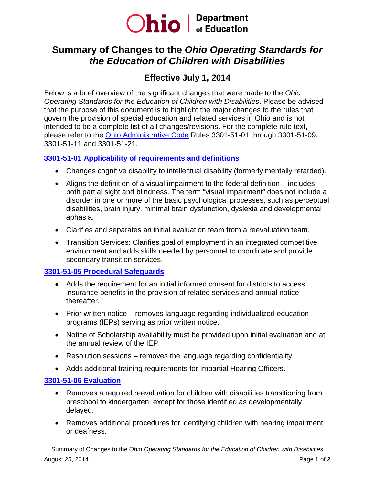

# **Summary of Changes to the** *Ohio Operating Standards for the Education of Children with Disabilities*

## **Effective July 1, 2014**

Below is a brief overview of the significant changes that were made to the *Ohio Operating Standards for the Education of Children with Disabilities*. Please be advised that the purpose of this document is to highlight the major changes to the rules that govern the provision of special education and related services in Ohio and is not intended to be a complete list of all changes/revisions. For the complete rule text, please refer to the [Ohio Administrative Code](http://codes.ohio.gov/oac/) Rules 3301-51-01 through 3301-51-09, 3301-51-11 and 3301-51-21.

## **[3301-51-01 Applicability of requirements and definitions](http://codes.ohio.gov/oac/3301-51-01)**

- Changes cognitive disability to intellectual disability (formerly mentally retarded).
- Aligns the definition of a visual impairment to the federal definition includes both partial sight and blindness. The term "visual impairment" does not include a disorder in one or more of the basic psychological processes, such as perceptual disabilities, brain injury, minimal brain dysfunction, dyslexia and developmental aphasia.
- Clarifies and separates an initial evaluation team from a reevaluation team.
- Transition Services: Clarifies goal of employment in an integrated competitive environment and adds skills needed by personnel to coordinate and provide secondary transition services.

## **3301-51-05 [Procedural Safeguards](http://codes.ohio.gov/oac/3301-51-05)**

- Adds the requirement for an initial informed consent for districts to access insurance benefits in the provision of related services and annual notice thereafter.
- Prior written notice removes language regarding individualized education programs (IEPs) serving as prior written notice.
- Notice of Scholarship availability must be provided upon initial evaluation and at the annual review of the IEP.
- Resolution sessions removes the language regarding confidentiality.
- Adds additional training requirements for Impartial Hearing Officers.

## **[3301-51-06](http://codes.ohio.gov/oac/3301-51-06) Evaluation**

- Removes a required reevaluation for children with disabilities transitioning from preschool to kindergarten, except for those identified as developmentally delayed.
- Removes additional procedures for identifying children with hearing impairment or deafness.